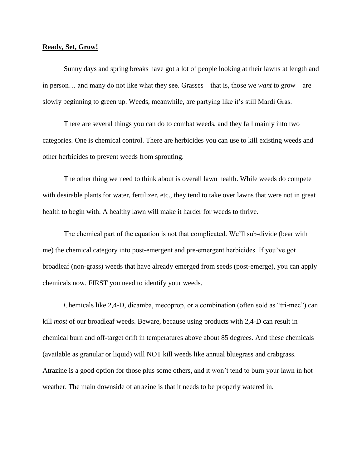## **Ready, Set, Grow!**

Sunny days and spring breaks have got a lot of people looking at their lawns at length and in person… and many do not like what they see. Grasses – that is, those we *want* to grow – are slowly beginning to green up. Weeds, meanwhile, are partying like it's still Mardi Gras.

There are several things you can do to combat weeds, and they fall mainly into two categories. One is chemical control. There are herbicides you can use to kill existing weeds and other herbicides to prevent weeds from sprouting.

The other thing we need to think about is overall lawn health. While weeds do compete with desirable plants for water, fertilizer, etc., they tend to take over lawns that were not in great health to begin with. A healthy lawn will make it harder for weeds to thrive.

The chemical part of the equation is not that complicated. We'll sub-divide (bear with me) the chemical category into post-emergent and pre-emergent herbicides. If you've got broadleaf (non-grass) weeds that have already emerged from seeds (post-emerge), you can apply chemicals now. FIRST you need to identify your weeds.

Chemicals like 2,4-D, dicamba, mecoprop, or a combination (often sold as "tri-mec") can kill *most* of our broadleaf weeds. Beware, because using products with 2,4-D can result in chemical burn and off-target drift in temperatures above about 85 degrees. And these chemicals (available as granular or liquid) will NOT kill weeds like annual bluegrass and crabgrass. Atrazine is a good option for those plus some others, and it won't tend to burn your lawn in hot weather. The main downside of atrazine is that it needs to be properly watered in.